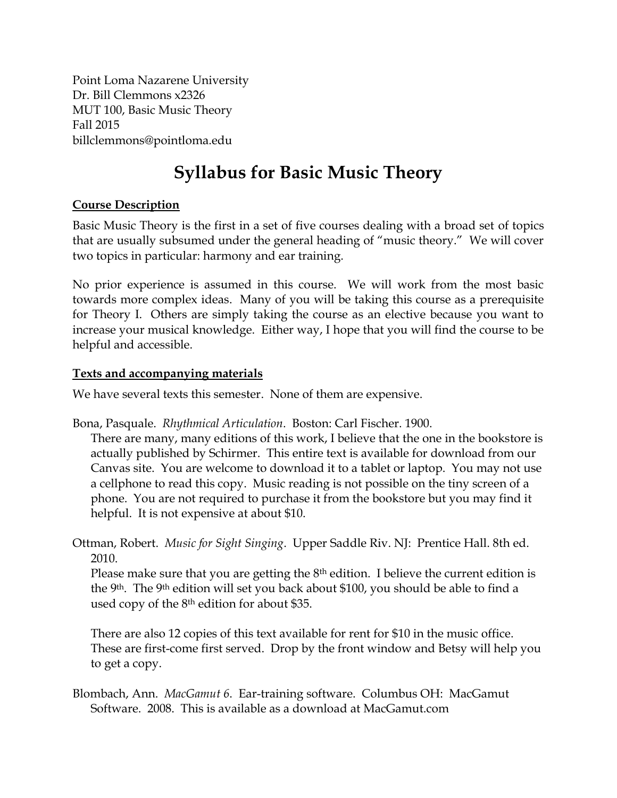Point Loma Nazarene University Dr. Bill Clemmons x2326 MUT 100, Basic Music Theory Fall 2015 billclemmons@pointloma.edu

## **Syllabus for Basic Music Theory**

#### **Course Description**

Basic Music Theory is the first in a set of five courses dealing with a broad set of topics that are usually subsumed under the general heading of "music theory." We will cover two topics in particular: harmony and ear training.

No prior experience is assumed in this course. We will work from the most basic towards more complex ideas. Many of you will be taking this course as a prerequisite for Theory I. Others are simply taking the course as an elective because you want to increase your musical knowledge. Either way, I hope that you will find the course to be helpful and accessible.

#### **Texts and accompanying materials**

We have several texts this semester. None of them are expensive.

Bona, Pasquale. *Rhythmical Articulation*. Boston: Carl Fischer. 1900.

There are many, many editions of this work, I believe that the one in the bookstore is actually published by Schirmer. This entire text is available for download from our Canvas site. You are welcome to download it to a tablet or laptop. You may not use a cellphone to read this copy. Music reading is not possible on the tiny screen of a phone. You are not required to purchase it from the bookstore but you may find it helpful. It is not expensive at about \$10.

Ottman, Robert. *Music for Sight Singing*. Upper Saddle Riv. NJ: Prentice Hall. 8th ed. 2010.

Please make sure that you are getting the 8<sup>th</sup> edition. I believe the current edition is the 9th. The 9th edition will set you back about \$100, you should be able to find a used copy of the  $8<sup>th</sup>$  edition for about \$35.

There are also 12 copies of this text available for rent for \$10 in the music office. These are first-come first served. Drop by the front window and Betsy will help you to get a copy.

Blombach, Ann. *MacGamut 6*. Ear-training software. Columbus OH: MacGamut Software. 2008. This is available as a download at MacGamut.com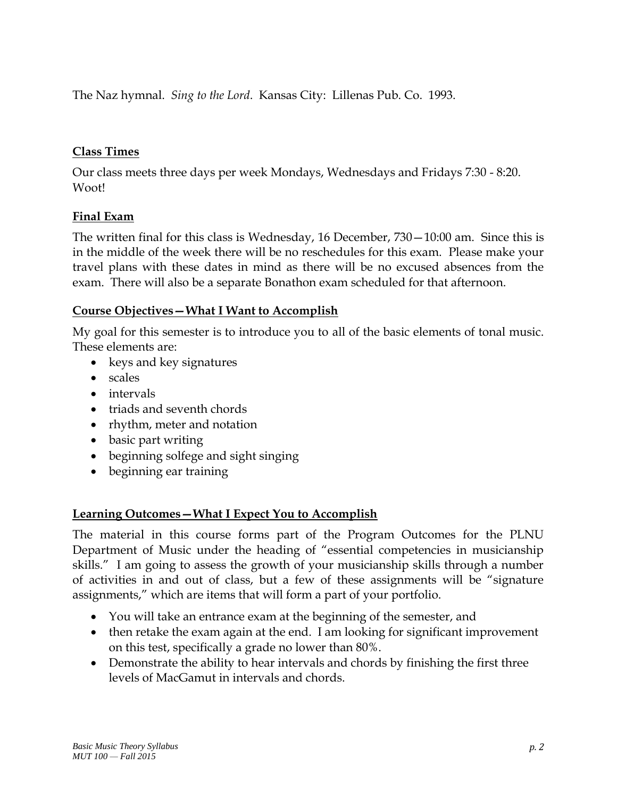The Naz hymnal. *Sing to the Lord*. Kansas City: Lillenas Pub. Co. 1993.

#### **Class Times**

Our class meets three days per week Mondays, Wednesdays and Fridays 7:30 - 8:20. Woot!

#### **Final Exam**

The written final for this class is Wednesday, 16 December, 730—10:00 am. Since this is in the middle of the week there will be no reschedules for this exam. Please make your travel plans with these dates in mind as there will be no excused absences from the exam. There will also be a separate Bonathon exam scheduled for that afternoon.

#### **Course Objectives—What I Want to Accomplish**

My goal for this semester is to introduce you to all of the basic elements of tonal music. These elements are:

- keys and key signatures
- scales
- intervals
- triads and seventh chords
- rhythm, meter and notation
- basic part writing
- beginning solfege and sight singing
- beginning ear training

#### **Learning Outcomes—What I Expect You to Accomplish**

The material in this course forms part of the Program Outcomes for the PLNU Department of Music under the heading of "essential competencies in musicianship skills." I am going to assess the growth of your musicianship skills through a number of activities in and out of class, but a few of these assignments will be "signature assignments," which are items that will form a part of your portfolio.

- You will take an entrance exam at the beginning of the semester, and
- then retake the exam again at the end. I am looking for significant improvement on this test, specifically a grade no lower than 80%.
- Demonstrate the ability to hear intervals and chords by finishing the first three levels of MacGamut in intervals and chords.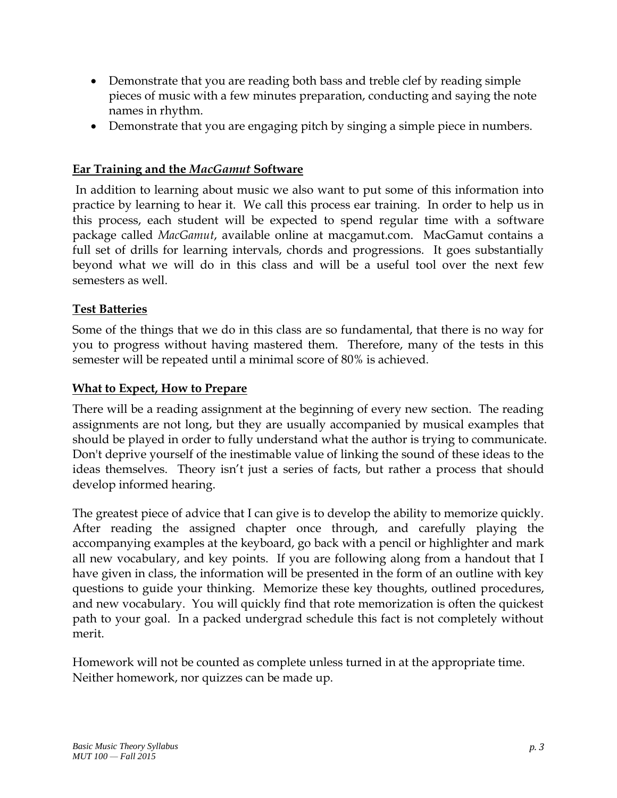- Demonstrate that you are reading both bass and treble clef by reading simple pieces of music with a few minutes preparation, conducting and saying the note names in rhythm.
- Demonstrate that you are engaging pitch by singing a simple piece in numbers.

#### **Ear Training and the** *MacGamut* **Software**

In addition to learning about music we also want to put some of this information into practice by learning to hear it. We call this process ear training. In order to help us in this process, each student will be expected to spend regular time with a software package called *MacGamut*, available online at macgamut.com. MacGamut contains a full set of drills for learning intervals, chords and progressions. It goes substantially beyond what we will do in this class and will be a useful tool over the next few semesters as well.

#### **Test Batteries**

Some of the things that we do in this class are so fundamental, that there is no way for you to progress without having mastered them. Therefore, many of the tests in this semester will be repeated until a minimal score of 80% is achieved.

#### **What to Expect, How to Prepare**

There will be a reading assignment at the beginning of every new section. The reading assignments are not long, but they are usually accompanied by musical examples that should be played in order to fully understand what the author is trying to communicate. Don't deprive yourself of the inestimable value of linking the sound of these ideas to the ideas themselves. Theory isn't just a series of facts, but rather a process that should develop informed hearing.

The greatest piece of advice that I can give is to develop the ability to memorize quickly. After reading the assigned chapter once through, and carefully playing the accompanying examples at the keyboard, go back with a pencil or highlighter and mark all new vocabulary, and key points. If you are following along from a handout that I have given in class, the information will be presented in the form of an outline with key questions to guide your thinking. Memorize these key thoughts, outlined procedures, and new vocabulary. You will quickly find that rote memorization is often the quickest path to your goal. In a packed undergrad schedule this fact is not completely without merit.

Homework will not be counted as complete unless turned in at the appropriate time. Neither homework, nor quizzes can be made up.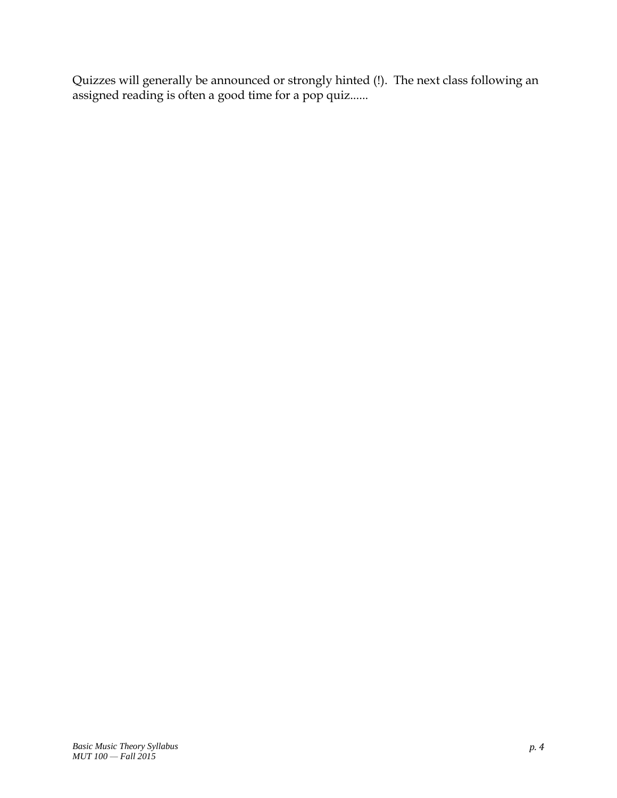Quizzes will generally be announced or strongly hinted (!). The next class following an assigned reading is often a good time for a pop quiz......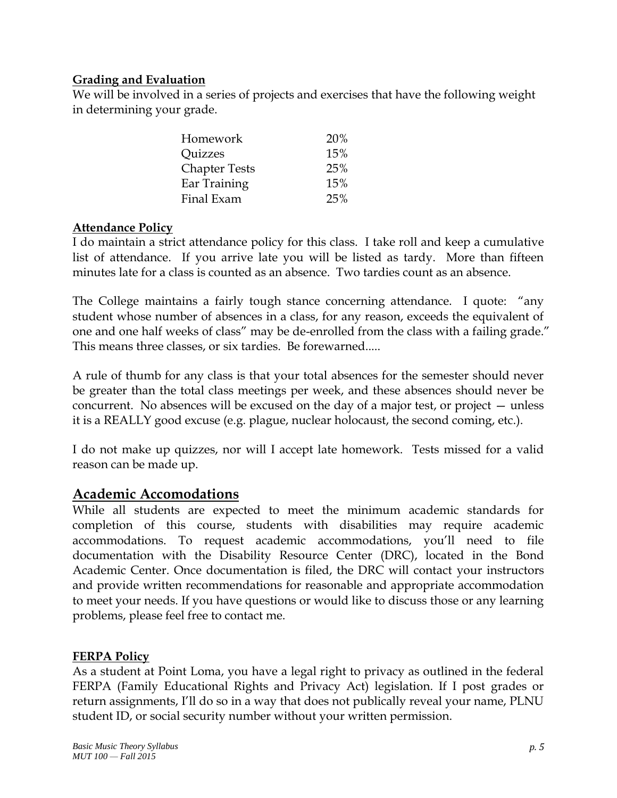#### **Grading and Evaluation**

We will be involved in a series of projects and exercises that have the following weight in determining your grade.

| Homework             | 20% |
|----------------------|-----|
| <b>Quizzes</b>       | 15% |
| <b>Chapter Tests</b> | 25% |
| Ear Training         | 15% |
| Final Exam           | 25% |

#### **Attendance Policy**

I do maintain a strict attendance policy for this class. I take roll and keep a cumulative list of attendance. If you arrive late you will be listed as tardy. More than fifteen minutes late for a class is counted as an absence. Two tardies count as an absence.

The College maintains a fairly tough stance concerning attendance. I quote: "any student whose number of absences in a class, for any reason, exceeds the equivalent of one and one half weeks of class" may be de-enrolled from the class with a failing grade." This means three classes, or six tardies. Be forewarned.....

A rule of thumb for any class is that your total absences for the semester should never be greater than the total class meetings per week, and these absences should never be concurrent. No absences will be excused on the day of a major test, or project — unless it is a REALLY good excuse (e.g. plague, nuclear holocaust, the second coming, etc.).

I do not make up quizzes, nor will I accept late homework. Tests missed for a valid reason can be made up.

### **Academic Accomodations**

While all students are expected to meet the minimum academic standards for completion of this course, students with disabilities may require academic accommodations. To request academic accommodations, you'll need to file documentation with the [Disability Resource Center](http://www.pointloma.edu/experience/offices/administrative-offices/academic-advising-office/disability-resource-center) (DRC), located in the Bond Academic Center. Once documentation is filed, the DRC will contact your instructors and provide written recommendations for reasonable and appropriate accommodation to meet your needs. If you have questions or would like to discuss those or any learning problems, please feel free to contact me.

#### **FERPA Policy**

As a student at Point Loma, you have a legal right to privacy as outlined in the federal FERPA (Family Educational Rights and Privacy Act) legislation. If I post grades or return assignments, I'll do so in a way that does not publically reveal your name, PLNU student ID, or social security number without your written permission.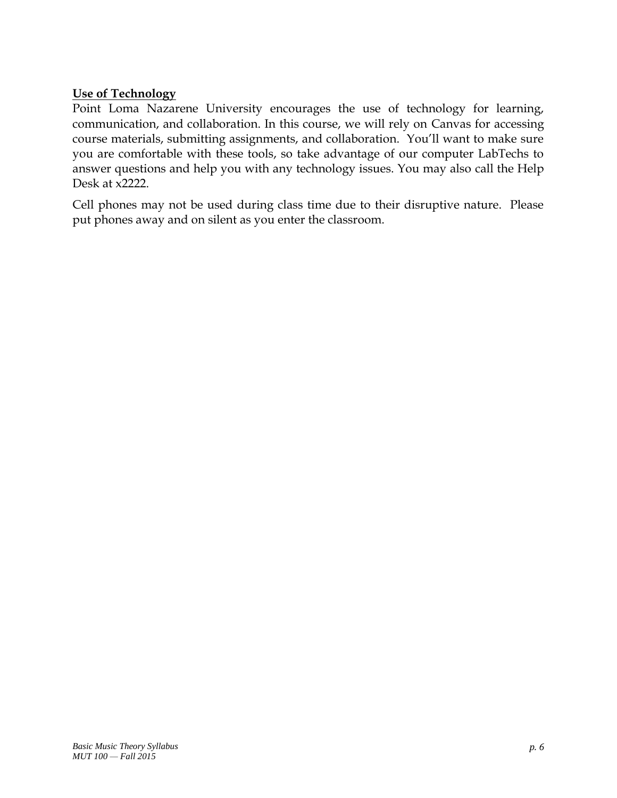#### **Use of Technology**

Point Loma Nazarene University encourages the use of technology for learning, communication, and collaboration. In this course, we will rely on Canvas for accessing course materials, submitting assignments, and collaboration. You'll want to make sure you are comfortable with these tools, so take advantage of our computer LabTechs to answer questions and help you with any technology issues. You may also call the Help Desk at x2222.

Cell phones may not be used during class time due to their disruptive nature. Please put phones away and on silent as you enter the classroom.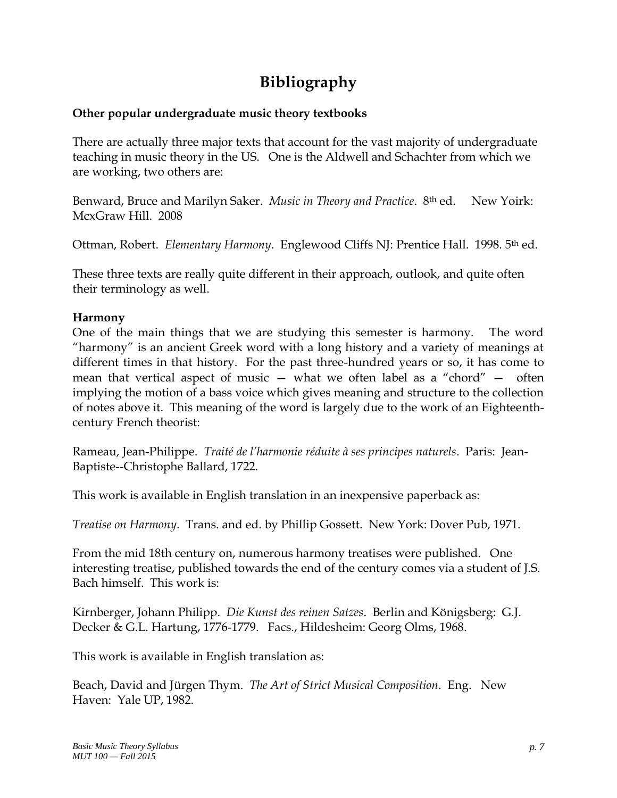## **Bibliography**

#### **Other popular undergraduate music theory textbooks**

There are actually three major texts that account for the vast majority of undergraduate teaching in music theory in the US. One is the Aldwell and Schachter from which we are working, two others are:

Benward, Bruce and Marilyn Saker. *Music in Theory and Practice*. 8th ed. New Yoirk: McxGraw Hill. 2008

Ottman, Robert. *Elementary Harmony*. Englewood Cliffs NJ: Prentice Hall. 1998. 5th ed.

These three texts are really quite different in their approach, outlook, and quite often their terminology as well.

#### **Harmony**

One of the main things that we are studying this semester is harmony. The word "harmony" is an ancient Greek word with a long history and a variety of meanings at different times in that history. For the past three-hundred years or so, it has come to mean that vertical aspect of music — what we often label as a "chord" — often implying the motion of a bass voice which gives meaning and structure to the collection of notes above it. This meaning of the word is largely due to the work of an Eighteenthcentury French theorist:

Rameau, Jean-Philippe. *Traité de l'harmonie réduite à ses principes naturels*. Paris: Jean-Baptiste--Christophe Ballard, 1722.

This work is available in English translation in an inexpensive paperback as:

*Treatise on Harmony*. Trans. and ed. by Phillip Gossett. New York: Dover Pub, 1971.

From the mid 18th century on, numerous harmony treatises were published. One interesting treatise, published towards the end of the century comes via a student of J.S. Bach himself. This work is:

Kirnberger, Johann Philipp. *Die Kunst des reinen Satzes*. Berlin and Königsberg: G.J. Decker & G.L. Hartung, 1776-1779. Facs., Hildesheim: Georg Olms, 1968.

This work is available in English translation as:

Beach, David and Jürgen Thym. *The Art of Strict Musical Composition*. Eng. New Haven: Yale UP, 1982.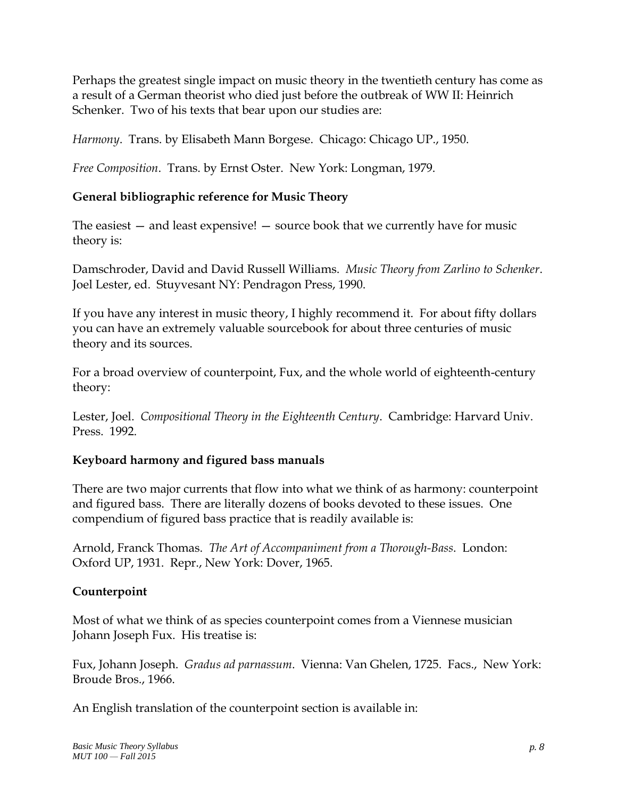Perhaps the greatest single impact on music theory in the twentieth century has come as a result of a German theorist who died just before the outbreak of WW II: Heinrich Schenker. Two of his texts that bear upon our studies are:

*Harmony*. Trans. by Elisabeth Mann Borgese. Chicago: Chicago UP., 1950.

*Free Composition*. Trans. by Ernst Oster. New York: Longman, 1979.

#### **General bibliographic reference for Music Theory**

The easiest — and least expensive! — source book that we currently have for music theory is:

Damschroder, David and David Russell Williams. *Music Theory from Zarlino to Schenker*. Joel Lester, ed. Stuyvesant NY: Pendragon Press, 1990.

If you have any interest in music theory, I highly recommend it. For about fifty dollars you can have an extremely valuable sourcebook for about three centuries of music theory and its sources.

For a broad overview of counterpoint, Fux, and the whole world of eighteenth-century theory:

Lester, Joel. *Compositional Theory in the Eighteenth Century*. Cambridge: Harvard Univ. Press. 1992.

#### **Keyboard harmony and figured bass manuals**

There are two major currents that flow into what we think of as harmony: counterpoint and figured bass. There are literally dozens of books devoted to these issues. One compendium of figured bass practice that is readily available is:

Arnold, Franck Thomas. *The Art of Accompaniment from a Thorough-Bass*. London: Oxford UP, 1931. Repr., New York: Dover, 1965.

#### **Counterpoint**

Most of what we think of as species counterpoint comes from a Viennese musician Johann Joseph Fux. His treatise is:

Fux, Johann Joseph. *Gradus ad parnassum*. Vienna: Van Ghelen, 1725. Facs., New York: Broude Bros., 1966.

An English translation of the counterpoint section is available in: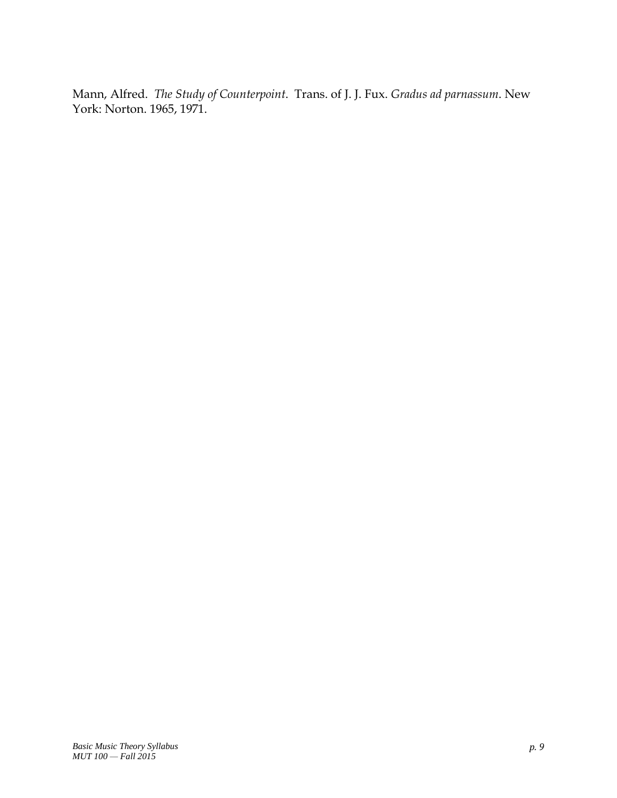Mann, Alfred. *The Study of Counterpoint*. Trans. of J. J. Fux. *Gradus ad parnassum*. New York: Norton. 1965, 1971.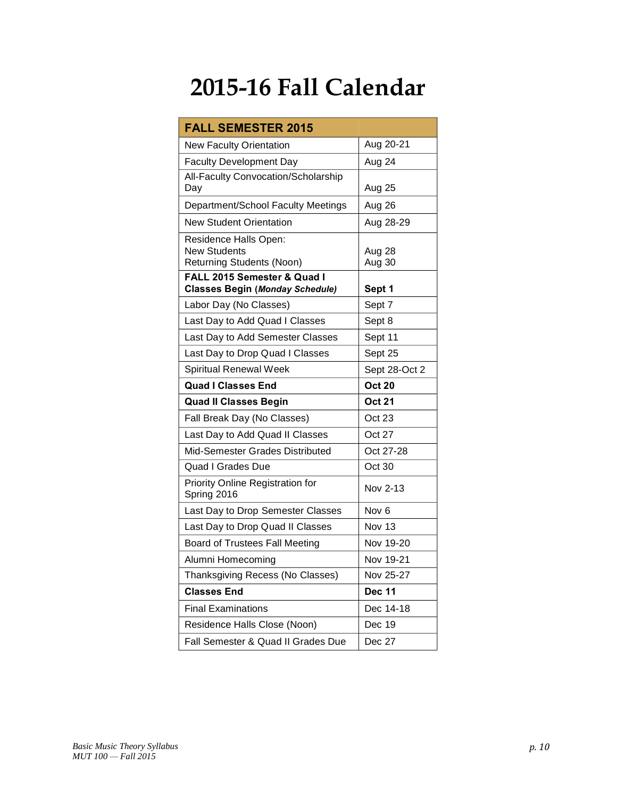# **2015-16 Fall Calendar**

| <b>FALL SEMESTER 2015</b>                                                        |                  |
|----------------------------------------------------------------------------------|------------------|
| <b>New Faculty Orientation</b>                                                   | Aug 20-21        |
| <b>Faculty Development Day</b>                                                   | Aug 24           |
| All-Faculty Convocation/Scholarship<br>Day                                       | Aug 25           |
| Department/School Faculty Meetings                                               | Aug 26           |
| <b>New Student Orientation</b>                                                   | Aug 28-29        |
| Residence Halls Open:<br><b>New Students</b><br><b>Returning Students (Noon)</b> | Aug 28<br>Aug 30 |
| <b>FALL 2015 Semester &amp; Quad I</b><br><b>Classes Begin (Monday Schedule)</b> | Sept 1           |
| Labor Day (No Classes)                                                           | Sept 7           |
| Last Day to Add Quad I Classes                                                   | Sept 8           |
| Last Day to Add Semester Classes                                                 | Sept 11          |
| Last Day to Drop Quad I Classes                                                  | Sept 25          |
| Spiritual Renewal Week                                                           | Sept 28-Oct 2    |
| <b>Quad I Classes End</b>                                                        | <b>Oct 20</b>    |
| <b>Quad II Classes Begin</b>                                                     | <b>Oct 21</b>    |
| Fall Break Day (No Classes)                                                      | Oct 23           |
| Last Day to Add Quad II Classes                                                  | <b>Oct 27</b>    |
| Mid-Semester Grades Distributed                                                  | Oct 27-28        |
| <b>Quad I Grades Due</b>                                                         | Oct 30           |
| Priority Online Registration for<br>Spring 2016                                  | Nov 2-13         |
| Last Day to Drop Semester Classes                                                | Nov <sub>6</sub> |
| Last Day to Drop Quad II Classes                                                 | Nov 13           |
| Board of Trustees Fall Meeting                                                   | Nov 19-20        |
| Alumni Homecoming                                                                | Nov 19-21        |
| Thanksgiving Recess (No Classes)                                                 | Nov 25-27        |
| <b>Classes End</b>                                                               | <b>Dec 11</b>    |
| <b>Final Examinations</b>                                                        | Dec 14-18        |
| Residence Halls Close (Noon)                                                     | Dec 19           |
| Fall Semester & Quad II Grades Due                                               | Dec 27           |